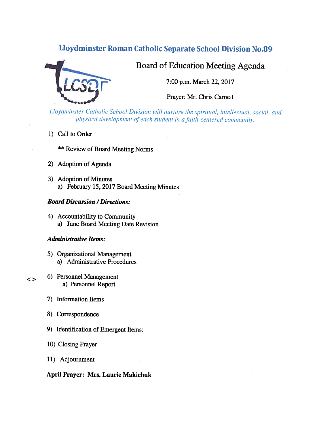# Lloydminster Roman Catholic Separate School Division No.89



# Board of Education Meeting Agenda

7:00 p.m. March 22, 2017

Prayer: Mr. Chris Carnell

Lloydminster Catholic School Division will nurture the spiritual, intellectual, social, and physical development of each student in a faith-centered community.

1) Call to Order

**\*\* Review of Board Meeting Norms** 

- 2) Adoption of Agenda
- 3) Adoption of Minutes a) February 15, 2017 Board Meeting Minutes

# **Board Discussion / Directions:**

4) Accountability to Community a) June Board Meeting Date Revision

#### **Administrative Items:**

- 5) Organizational Management a) Administrative Procedures
- 6) Personnel Management a) Personnel Report
- 7) Information Items

 $\leq$ 

- 8) Correspondence
- 9) Identification of Emergent Items:
- 10) Closing Prayer
- 11) Adjournment

# April Prayer: Mrs. Laurie Makichuk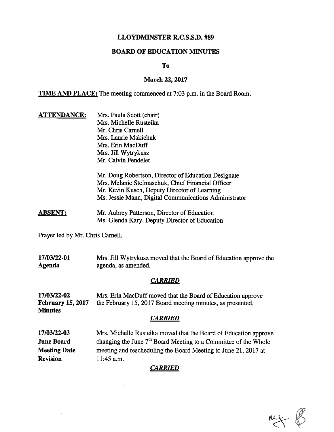## LLOYDMINSTER R.C.S.S.D. #89

### BOARD OF EDUCATION MINUTES

To

#### March 22, 2017

**TIME AND PLACE:** The meeting commenced at 7:03 p.m. in the Board Room.

**ATTENDANCE:** Mrs. Paula Scott (chair) Mrs. Michelle Rusteika Mr. Chris Carnell Mrs. Laurie Makichuk Mrs. Erin MacDuff Mrs. Jill Wytrykusz Mr. Calvin Fendelet

> Mr. Doug Robertson, Director of Education Designate Mrs. Melanie Stelmaschuk, Chief Financial Officer Mr. Kevin Kusch, Deputy Director of Learning Ms. Jessie Mann, Digital Communications Administrator

**ABSENT:** Mr. Aubrey Patterson, Director of Education Ms. Glenda Kary, Deputy Director of Education

Prayer led by Mr. Chris Carnell.

17/03/22-01 Mrs. Jill Wytrykusz moved that the Board of Education approve the Agenda agenda, as amended.

#### **CARRIED**

17/03/22-02 Mrs. Eñn MacDuff moved that the Board of Education approve February 15, 2017 the February 15, 2017 Board meeting minutes, as presented. **Minutes** 

#### **CARRIED**

17/03/22-03 Mrs. Michelle Rusteika moved that the Board of Education approve **June Board** changing the June  $7<sup>th</sup>$  Board Meeting to a Committee of the Whole Meeting Date meeting and rescheduling the Board Meeting to June 21, 2017 at Revision 11:45 a.m.

#### CARRIED

 $mg - g$